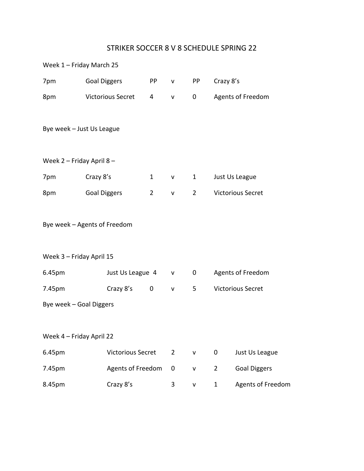## STRIKER SOCCER 8 V 8 SCHEDULE SPRING 22

| Week 1 - Friday March 25  |                              |                |                |                |                          |                          |
|---------------------------|------------------------------|----------------|----------------|----------------|--------------------------|--------------------------|
| 7pm                       | <b>Goal Diggers</b>          | PP             | $\mathsf{V}$   | <b>PP</b>      | Crazy 8's                |                          |
| 8pm                       | <b>Victorious Secret</b>     | 4              | V              | 0              |                          | Agents of Freedom        |
|                           | Bye week - Just Us League    |                |                |                |                          |                          |
| Week 2 - Friday April 8 - |                              |                |                |                |                          |                          |
| 7pm                       | Crazy 8's                    | $\mathbf{1}$   | V              | $\mathbf{1}$   |                          | Just Us League           |
| 8pm                       | <b>Goal Diggers</b>          | $\overline{2}$ | $\mathsf{V}$   | $\overline{2}$ |                          | <b>Victorious Secret</b> |
|                           | Bye week - Agents of Freedom |                |                |                |                          |                          |
| Week 3 - Friday April 15  |                              |                |                |                |                          |                          |
| 6.45pm                    | Just Us League 4             |                | V              | 0              | Agents of Freedom        |                          |
| 7.45pm                    | Crazy 8's                    | 0              | V              | 5              | <b>Victorious Secret</b> |                          |
| Bye week - Goal Diggers   |                              |                |                |                |                          |                          |
| Week 4 - Friday April 22  |                              |                |                |                |                          |                          |
| 6.45pm                    | <b>Victorious Secret</b>     |                | $\overline{2}$ | $\mathsf{V}$   | 0                        | Just Us League           |
| 7.45pm                    | Agents of Freedom            |                | 0              | v              | $\overline{2}$           | <b>Goal Diggers</b>      |
| 8.45pm                    | Crazy 8's                    |                | 3              | $\mathsf{V}$   | 1                        | <b>Agents of Freedom</b> |